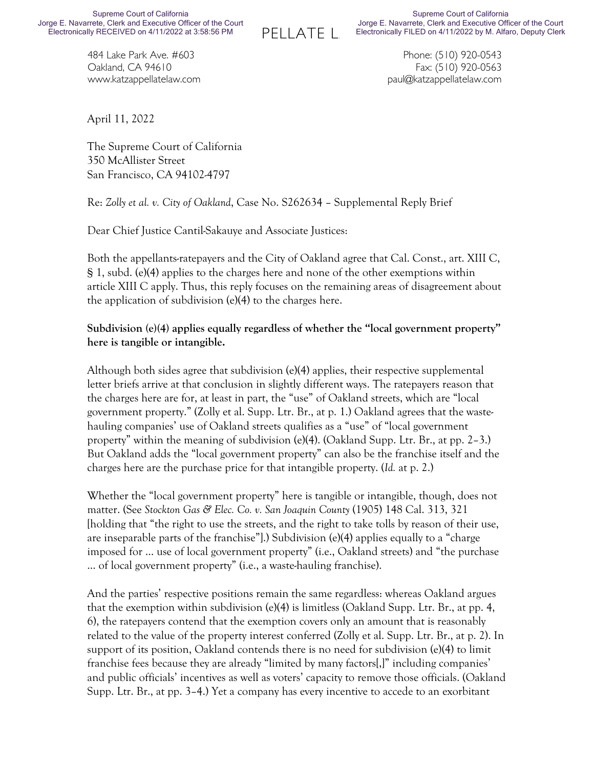PELLATE L

484 Lake Park Ave. #603 Oakland, CA 94610 www.katzappellatelaw.com

Phone: (510) 920-0543 Fax: (510) 920-0563 paul@katzappellatelaw.com

April 11, 2022

The Supreme Court of California 350 McAllister Street San Francisco, CA 94102-4797

Re: *Zolly et al. v. City of Oakland*, Case No. S262634 – Supplemental Reply Brief

Dear Chief Justice Cantil-Sakauye and Associate Justices:

Both the appellants-ratepayers and the City of Oakland agree that Cal. Const., art. XIII C, § 1, subd. (e)(4) applies to the charges here and none of the other exemptions within article XIII C apply. Thus, this reply focuses on the remaining areas of disagreement about the application of subdivision (e)(4) to the charges here.

### **Subdivision (e)(4) applies equally regardless of whether the "local government property" here is tangible or intangible.**

Although both sides agree that subdivision (e)(4) applies, their respective supplemental letter briefs arrive at that conclusion in slightly different ways. The ratepayers reason that the charges here are for, at least in part, the "use" of Oakland streets, which are "local government property." (Zolly et al. Supp. Ltr. Br., at p. 1.) Oakland agrees that the wastehauling companies' use of Oakland streets qualifies as a "use" of "local government property" within the meaning of subdivision (e)(4). (Oakland Supp. Ltr. Br., at pp. 2–3.) But Oakland adds the "local government property" can also be the franchise itself and the charges here are the purchase price for that intangible property. (*Id.* at p. 2.)

Whether the "local government property" here is tangible or intangible, though, does not matter. (See *Stockton Gas & Elec. Co. v. San Joaquin County* (1905) 148 Cal. 313, 321 [holding that "the right to use the streets, and the right to take tolls by reason of their use, are inseparable parts of the franchise"].) Subdivision (e)(4) applies equally to a "charge imposed for … use of local government property" (i.e., Oakland streets) and "the purchase … of local government property" (i.e., a waste-hauling franchise).

And the parties' respective positions remain the same regardless: whereas Oakland argues that the exemption within subdivision (e)(4) is limitless (Oakland Supp. Ltr. Br., at pp. 4, 6), the ratepayers contend that the exemption covers only an amount that is reasonably related to the value of the property interest conferred (Zolly et al. Supp. Ltr. Br., at p. 2). In support of its position, Oakland contends there is no need for subdivision (e)(4) to limit franchise fees because they are already "limited by many factors[,]" including companies' and public officials' incentives as well as voters' capacity to remove those officials. (Oakland Supp. Ltr. Br., at pp. 3–4.) Yet a company has every incentive to accede to an exorbitant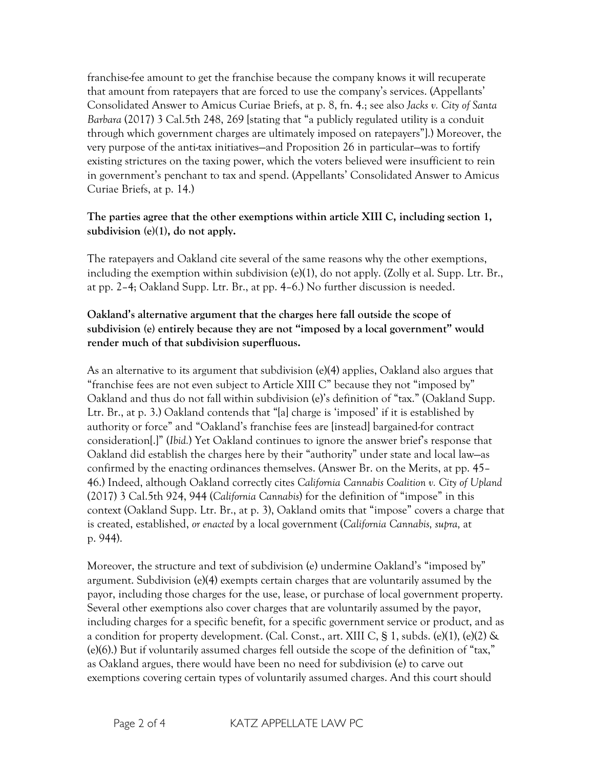franchise-fee amount to get the franchise because the company knows it will recuperate that amount from ratepayers that are forced to use the company's services. (Appellants' Consolidated Answer to Amicus Curiae Briefs, at p. 8, fn. 4.; see also *Jacks v. City of Santa Barbara* (2017) 3 Cal.5th 248, 269 [stating that "a publicly regulated utility is a conduit through which government charges are ultimately imposed on ratepayers"].) Moreover, the very purpose of the anti-tax initiatives—and Proposition 26 in particular—was to fortify existing strictures on the taxing power, which the voters believed were insufficient to rein in government's penchant to tax and spend. (Appellants' Consolidated Answer to Amicus Curiae Briefs, at p. 14.)

### **The parties agree that the other exemptions within article XIII C, including section 1, subdivision (e)(1), do not apply.**

The ratepayers and Oakland cite several of the same reasons why the other exemptions, including the exemption within subdivision (e)(1), do not apply. (Zolly et al. Supp. Ltr. Br., at pp. 2–4; Oakland Supp. Ltr. Br., at pp. 4–6.) No further discussion is needed.

### **Oakland's alternative argument that the charges here fall outside the scope of subdivision (e) entirely because they are not "imposed by a local government" would render much of that subdivision superfluous.**

As an alternative to its argument that subdivision (e)(4) applies, Oakland also argues that "franchise fees are not even subject to Article XIII C" because they not "imposed by" Oakland and thus do not fall within subdivision (e)'s definition of "tax." (Oakland Supp. Ltr. Br., at p. 3.) Oakland contends that "[a] charge is 'imposed' if it is established by authority or force" and "Oakland's franchise fees are [instead] bargained-for contract consideration[.]" (*Ibid.*) Yet Oakland continues to ignore the answer brief's response that Oakland did establish the charges here by their "authority" under state and local law—as confirmed by the enacting ordinances themselves. (Answer Br. on the Merits, at pp. 45– 46.) Indeed, although Oakland correctly cites *California Cannabis Coalition v. City of Upland* (2017) 3 Cal.5th 924, 944 (*California Cannabis*) for the definition of "impose" in this context (Oakland Supp. Ltr. Br., at p. 3), Oakland omits that "impose" covers a charge that is created, established, *or enacted* by a local government (*California Cannabis, supra,* at p. 944).

Moreover, the structure and text of subdivision (e) undermine Oakland's "imposed by" argument. Subdivision (e)(4) exempts certain charges that are voluntarily assumed by the payor, including those charges for the use, lease, or purchase of local government property. Several other exemptions also cover charges that are voluntarily assumed by the payor, including charges for a specific benefit, for a specific government service or product, and as a condition for property development. (Cal. Const., art. XIII C,  $\S$  1, subds. (e)(1), (e)(2)  $\&$ (e)(6).) But if voluntarily assumed charges fell outside the scope of the definition of "tax," as Oakland argues, there would have been no need for subdivision (e) to carve out exemptions covering certain types of voluntarily assumed charges. And this court should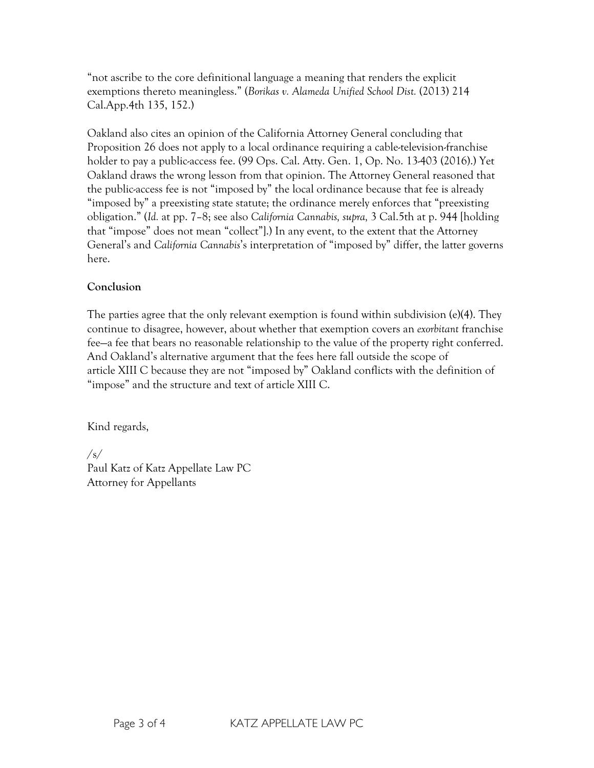"not ascribe to the core definitional language a meaning that renders the explicit exemptions thereto meaningless." (*Borikas v. Alameda Unified School Dist.* (2013) 214 Cal.App.4th 135, 152.)

Oakland also cites an opinion of the California Attorney General concluding that Proposition 26 does not apply to a local ordinance requiring a cable-television-franchise holder to pay a public-access fee. (99 Ops. Cal. Atty. Gen. 1, Op. No. 13-403 (2016).) Yet Oakland draws the wrong lesson from that opinion. The Attorney General reasoned that the public-access fee is not "imposed by" the local ordinance because that fee is already "imposed by" a preexisting state statute; the ordinance merely enforces that "preexisting obligation." (*Id.* at pp. 7–8; see also *California Cannabis, supra,* 3 Cal.5th at p. 944 [holding that "impose" does not mean "collect"].) In any event, to the extent that the Attorney General's and *California Cannabis*'s interpretation of "imposed by" differ, the latter governs here.

### **Conclusion**

The parties agree that the only relevant exemption is found within subdivision (e)(4). They continue to disagree, however, about whether that exemption covers an *exorbitant* franchise fee—a fee that bears no reasonable relationship to the value of the property right conferred. And Oakland's alternative argument that the fees here fall outside the scope of article XIII C because they are not "imposed by" Oakland conflicts with the definition of "impose" and the structure and text of article XIII C.

Kind regards,

/s/ Paul Katz of Katz Appellate Law PC Attorney for Appellants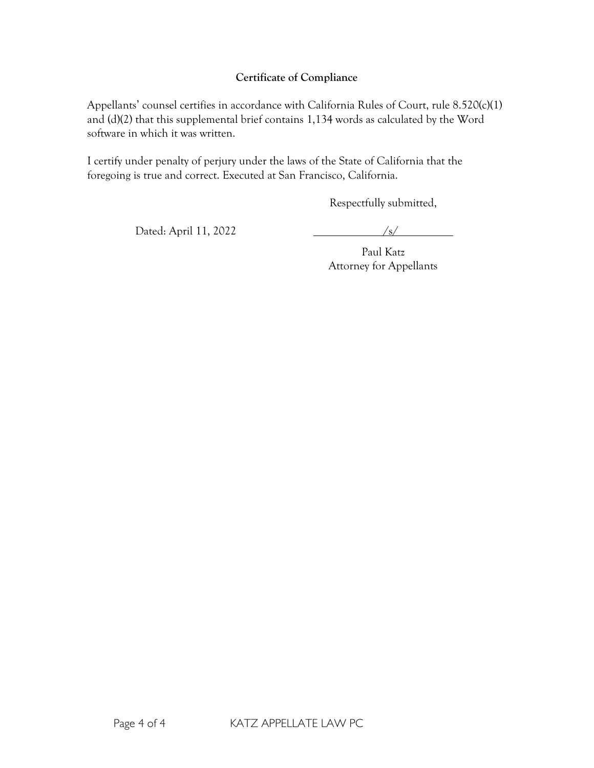### **Certificate of Compliance**

Appellants' counsel certifies in accordance with California Rules of Court, rule 8.520(c)(1) and (d)(2) that this supplemental brief contains 1,134 words as calculated by the Word software in which it was written.

I certify under penalty of perjury under the laws of the State of California that the foregoing is true and correct. Executed at San Francisco, California.

Respectfully submitted,

Dated: April 11, 2022 /s/

Paul Katz Attorney for Appellants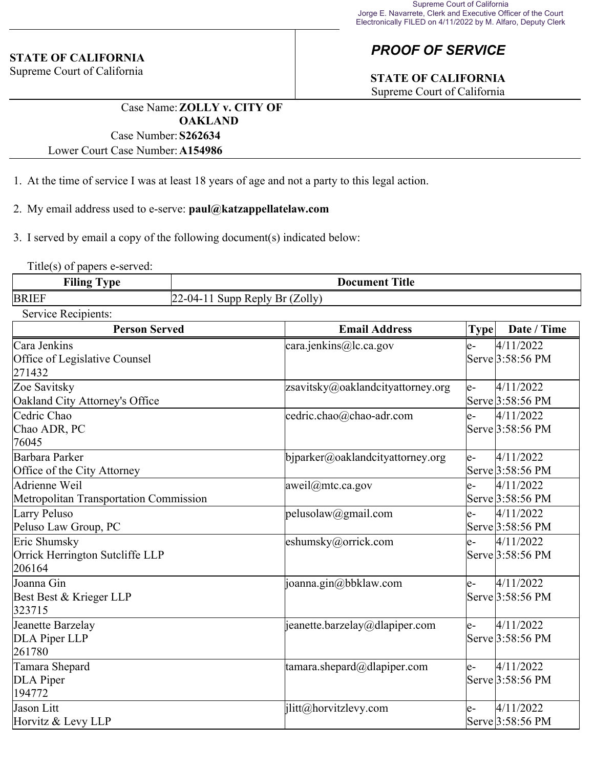#### **STATE OF CALIFORNIA**

Supreme Court of California

## *PROOF OF SERVICE*

# **STATE OF CALIFORNIA**

Supreme Court of California

Case Name:**ZOLLY v. CITY OF OAKLAND** Case Number:**S262634**

Lower Court Case Number:**A154986**

- 1. At the time of service I was at least 18 years of age and not a party to this legal action.
- 2. My email address used to e-serve: **paul@katzappellatelaw.com**

3. I served by email a copy of the following document(s) indicated below:

Title(s) of papers e-served:

| <b>Filing</b> | <b>Title</b>                        |
|---------------|-------------------------------------|
| <b>v</b> pe   | <b>Document</b>                     |
| <b>BRIEF</b>  | Br (Zolly)<br>-04-<br>Reply<br>Supp |

Service Recipients:

| <b>Person Served</b>                                                          | <b>Email Address</b>                                          | <b>Type</b>  | Date / Time                                                    |
|-------------------------------------------------------------------------------|---------------------------------------------------------------|--------------|----------------------------------------------------------------|
| Cara Jenkins<br>Office of Legislative Counsel<br>271432                       | $\alpha$ ara.jenkins $\omega$ lc.ca.gov                       | e-           | 4/11/2022<br>Serve 3:58:56 PM                                  |
| Zoe Savitsky<br>Oakland City Attorney's Office<br>Cedric Chao<br>Chao ADR, PC | zsavitsky@oaklandcityattorney.org<br>cedric.chao@chao-adr.com | $ e-$<br>le- | 4/11/2022<br>Serve 3:58:56 PM<br>4/11/2022<br>Serve 3:58:56 PM |
| 76045<br>Barbara Parker<br>Office of the City Attorney                        | $b$ jparker@oaklandcityattorney.org                           | e-           | 4/11/2022<br>Serve 3:58:56 PM                                  |
| Adrienne Weil<br>Metropolitan Transportation Commission                       | aweil $@$ mtc.ca.gov                                          | le-          | 4/11/2022<br>Serve 3:58:56 PM                                  |
| Larry Peluso<br>Peluso Law Group, PC                                          | pelusolaw@gmail.com                                           | $e-$         | 4/11/2022<br>Serve 3:58:56 PM                                  |
| Eric Shumsky<br>Orrick Herrington Sutcliffe LLP<br>206164                     | eshumsky@orrick.com                                           | e-           | 4/11/2022<br>Serve 3:58:56 PM                                  |
| Joanna Gin<br>Best Best & Krieger LLP<br>323715                               | joanna.gin@bbklaw.com                                         | e-           | 4/11/2022<br>Serve 3:58:56 PM                                  |
| Jeanette Barzelay<br>DLA Piper LLP<br>261780                                  | jeanette.barzelay@dlapiper.com                                | le-          | 4/11/2022<br>Serve 3:58:56 PM                                  |
| Tamara Shepard<br>DLA Piper<br>194772                                         | $t$ amara.shepard@dlapiper.com                                | e-           | 4/11/2022<br>Serve 3:58:56 PM                                  |
| Jason Litt<br>Horvitz & Levy LLP                                              | ilitt@horvitzlevy.com                                         | le-          | 4/11/2022<br>Serve 3:58:56 PM                                  |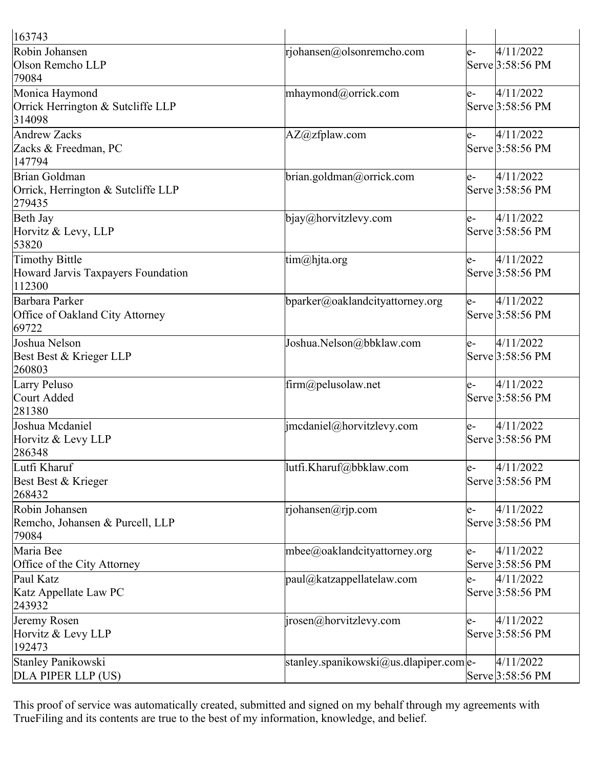| 163743                                                         |                                        |      |                                        |
|----------------------------------------------------------------|----------------------------------------|------|----------------------------------------|
| Robin Johansen<br>Olson Remcho LLP<br>79084                    | rjohansen@olsonremcho.com              | e-   | 4/11/2022<br>Serve 3:58:56 PM          |
| Monica Haymond<br>Orrick Herrington & Sutcliffe LLP<br>314098  | mhaymond@orrick.com                    | e-   | 4/11/2022<br>Serve 3:58:56 PM          |
| Andrew Zacks<br>Zacks & Freedman, PC<br>147794                 | $AZ@zf$ plaw.com                       | $e-$ | 4/11/2022<br>Serve 3:58:56 PM          |
| Brian Goldman<br>Orrick, Herrington & Sutcliffe LLP<br>279435  | brian.goldman@orrick.com               | le-  | 4/11/2022<br>Serve 3:58:56 PM          |
| Beth Jay<br>Horvitz & Levy, LLP<br>53820                       | bjay@horvitzlevy.com                   | e-   | 4/11/2022<br>Serve 3:58:56 PM          |
| Timothy Bittle<br>Howard Jarvis Taxpayers Foundation<br>112300 | $\lim(\omega)$ hjta.org                | e-   | 4/11/2022<br>Serve 3:58:56 PM          |
| Barbara Parker<br>Office of Oakland City Attorney<br>69722     | bparker@oaklandcityattorney.org        | le-  | 4/11/2022<br>Serve 3:58:56 PM          |
| Joshua Nelson<br>Best Best & Krieger LLP<br>260803             | Joshua.Nelson@bbklaw.com               | e-   | 4/11/2022<br>Serve 3:58:56 PM          |
| Larry Peluso<br>Court Added<br>281380                          | $\lim(\omega)$ pelusolaw.net           | e-   | 4/11/2022<br>Serve 3:58:56 PM          |
| Joshua Mcdaniel<br>Horvitz & Levy LLP<br>286348                | jmcdaniel@horvitzlevy.com              | le-  | 4/11/2022<br>Serve 3:58:56 PM          |
| Lutfi Kharuf<br>Best Best & Krieger<br>268432                  | lutfi.Kharuf@bbklaw.com                | le-  | $\sqrt{4/11/2022}$<br>Serve 3:58:56 PM |
| Robin Johansen<br>Remcho, Johansen & Purcell, LLP<br>79084     | rjohansen@rjp.com                      | e-   | 4/11/2022<br>Serve 3:58:56 PM          |
| Maria Bee<br>Office of the City Attorney                       | mbee@oaklandcityattorney.org           | e-   | 4/11/2022<br>Serve 3:58:56 PM          |
| Paul Katz<br>Katz Appellate Law PC<br>243932                   | paul@katzappellatelaw.com              | e-   | 4/11/2022<br>Serve 3:58:56 PM          |
| Jeremy Rosen<br>Horvitz & Levy LLP<br>192473                   | $ i$ rosen@horvitzlevy.com             | e-   | 4/11/2022<br>Serve 3:58:56 PM          |
| Stanley Panikowski<br>DLA PIPER LLP (US)                       | stanley.spanikowski@us.dlapiper.com e- |      | 4/11/2022<br>Serve 3:58:56 PM          |

This proof of service was automatically created, submitted and signed on my behalf through my agreements with TrueFiling and its contents are true to the best of my information, knowledge, and belief.